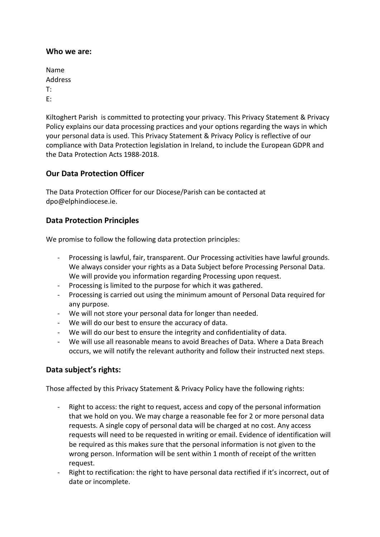### **Who we are:**

| Name    |  |
|---------|--|
| Address |  |
| T:      |  |
| F:      |  |

Kiltoghert Parish is committed to protecting your privacy. This Privacy Statement & Privacy Policy explains our data processing practices and your options regarding the ways in which your personal data is used. This Privacy Statement & Privacy Policy is reflective of our compliance with Data Protection legislation in Ireland, to include the European GDPR and the Data Protection Acts 1988-2018.

# **Our Data Protection Officer**

The Data Protection Officer for our Diocese/Parish can be contacted at dpo@elphindiocese.ie.

## **Data Protection Principles**

We promise to follow the following data protection principles:

- Processing is lawful, fair, transparent. Our Processing activities have lawful grounds. We always consider your rights as a Data Subject before Processing Personal Data. We will provide you information regarding Processing upon request.
- Processing is limited to the purpose for which it was gathered.
- Processing is carried out using the minimum amount of Personal Data required for any purpose.
- We will not store your personal data for longer than needed.
- We will do our best to ensure the accuracy of data.
- We will do our best to ensure the integrity and confidentiality of data.
- We will use all reasonable means to avoid Breaches of Data. Where a Data Breach occurs, we will notify the relevant authority and follow their instructed next steps.

# **Data subject's rights:**

Those affected by this Privacy Statement & Privacy Policy have the following rights:

- Right to access: the right to request, access and copy of the personal information that we hold on you. We may charge a reasonable fee for 2 or more personal data requests. A single copy of personal data will be charged at no cost. Any access requests will need to be requested in writing or email. Evidence of identification will be required as this makes sure that the personal information is not given to the wrong person. Information will be sent within 1 month of receipt of the written request.
- Right to rectification: the right to have personal data rectified if it's incorrect, out of date or incomplete.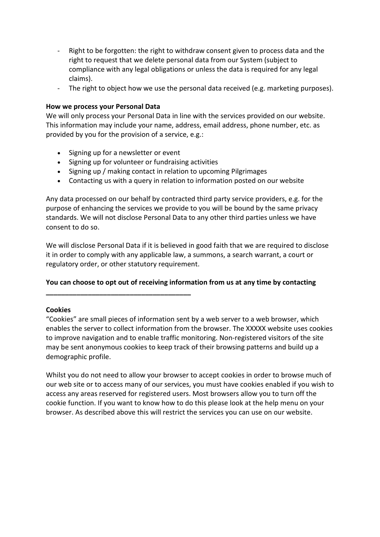- Right to be forgotten: the right to withdraw consent given to process data and the right to request that we delete personal data from our System (subject to compliance with any legal obligations or unless the data is required for any legal claims).
- The right to object how we use the personal data received (e.g. marketing purposes).

### **How we process your Personal Data**

We will only process your Personal Data in line with the services provided on our website. This information may include your name, address, email address, phone number, etc. as provided by you for the provision of a service, e.g.:

• Signing up for a newsletter or event

**\_\_\_\_\_\_\_\_\_\_\_\_\_\_\_\_\_\_\_\_\_\_\_\_\_\_\_\_\_\_\_\_\_\_\_\_\_\_**

- Signing up for volunteer or fundraising activities
- Signing up / making contact in relation to upcoming Pilgrimages
- Contacting us with a query in relation to information posted on our website

Any data processed on our behalf by contracted third party service providers, e.g. for the purpose of enhancing the services we provide to you will be bound by the same privacy standards. We will not disclose Personal Data to any other third parties unless we have consent to do so.

We will disclose Personal Data if it is believed in good faith that we are required to disclose it in order to comply with any applicable law, a summons, a search warrant, a court or regulatory order, or other statutory requirement.

## **You can choose to opt out of receiving information from us at any time by contacting**

#### **Cookies**

"Cookies" are small pieces of information sent by a web server to a web browser, which enables the server to collect information from the browser. The XXXXX website uses cookies to improve navigation and to enable traffic monitoring. Non-registered visitors of the site may be sent anonymous cookies to keep track of their browsing patterns and build up a demographic profile.

Whilst you do not need to allow your browser to accept cookies in order to browse much of our web site or to access many of our services, you must have cookies enabled if you wish to access any areas reserved for registered users. Most browsers allow you to turn off the cookie function. If you want to know how to do this please look at the help menu on your browser. As described above this will restrict the services you can use on our website.